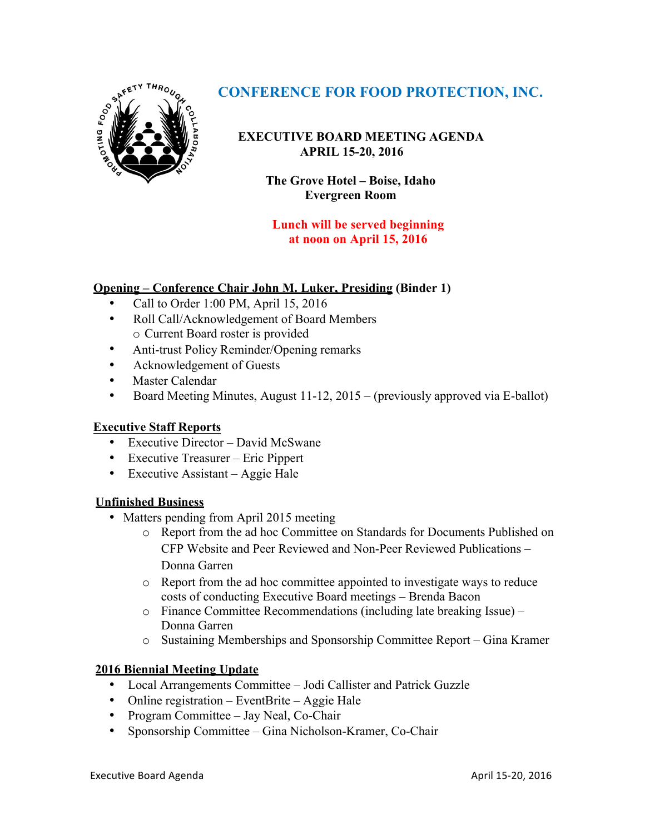

# **CONFERENCE FOR FOOD PROTECTION, INC.**

**EXECUTIVE BOARD MEETING AGENDA** **APRIL 15-20, 2016**

> **The Grove Hotel – Boise, Idaho Evergreen Room**

**Lunch will be served beginning at noon on April 15, 2016**

# **Opening – Conference Chair John M. Luker, Presiding (Binder 1)**

- Call to Order 1:00 PM, April 15, 2016
- Roll Call/Acknowledgement of Board Members o Current Board roster is provided
- Anti-trust Policy Reminder/Opening remarks
- Acknowledgement of Guests
- Master Calendar
- Board Meeting Minutes, August 11-12, 2015 (previously approved via E-ballot)

# **Executive Staff Reports**

- Executive Director David McSwane
- Executive Treasurer Eric Pippert
- Executive Assistant Aggie Hale

# **Unfinished Business**

- Matters pending from April 2015 meeting
	- o Report from the ad hoc Committee on Standards for Documents Published on CFP Website and Peer Reviewed and Non-Peer Reviewed Publications – Donna Garren
	- o Report from the ad hoc committee appointed to investigate ways to reduce costs of conducting Executive Board meetings – Brenda Bacon
	- o Finance Committee Recommendations (including late breaking Issue) Donna Garren
	- o Sustaining Memberships and Sponsorship Committee Report Gina Kramer

# **2016 Biennial Meeting Update**

- Local Arrangements Committee Jodi Callister and Patrick Guzzle
- Online registration EventBrite Aggie Hale
- Program Committee Jay Neal, Co-Chair
- Sponsorship Committee Gina Nicholson-Kramer, Co-Chair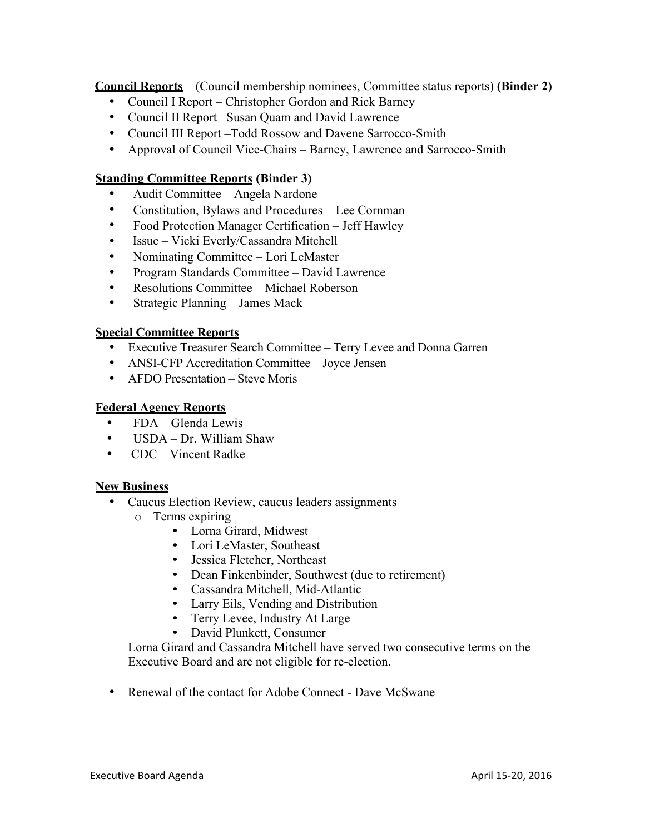**Council Reports** – (Council membership nominees, Committee status reports) **(Binder 2)**

- Council I Report Christopher Gordon and Rick Barney
- Council II Report –Susan Quam and David Lawrence
- Council III Report –Todd Rossow and Davene Sarrocco-Smith
- Approval of Council Vice-Chairs Barney, Lawrence and Sarrocco-Smith

# **Standing Committee Reports (Binder 3)**

- Audit Committee Angela Nardone
- Constitution, Bylaws and Procedures Lee Cornman
- Food Protection Manager Certification Jeff Hawley
- Issue Vicki Everly/Cassandra Mitchell
- Nominating Committee Lori LeMaster
- Program Standards Committee David Lawrence
- Resolutions Committee Michael Roberson
- Strategic Planning James Mack

# **Special Committee Reports**

- Executive Treasurer Search Committee Terry Levee and Donna Garren
- ANSI-CFP Accreditation Committee Joyce Jensen
- AFDO Presentation Steve Moris

# **Federal Agency Reports**

- FDA Glenda Lewis
- USDA Dr. William Shaw
- CDC Vincent Radke

# **New Business**

- Caucus Election Review, caucus leaders assignments
	- o Terms expiring
		- Lorna Girard, Midwest
		- Lori LeMaster, Southeast
		- Jessica Fletcher, Northeast
		- Dean Finkenbinder, Southwest (due to retirement)
		- Cassandra Mitchell, Mid-Atlantic
		- Larry Eils, Vending and Distribution
		- Terry Levee, Industry At Large
		- David Plunkett, Consumer

Lorna Girard and Cassandra Mitchell have served two consecutive terms on the Executive Board and are not eligible for re-election.

• Renewal of the contact for Adobe Connect - Dave McSwane